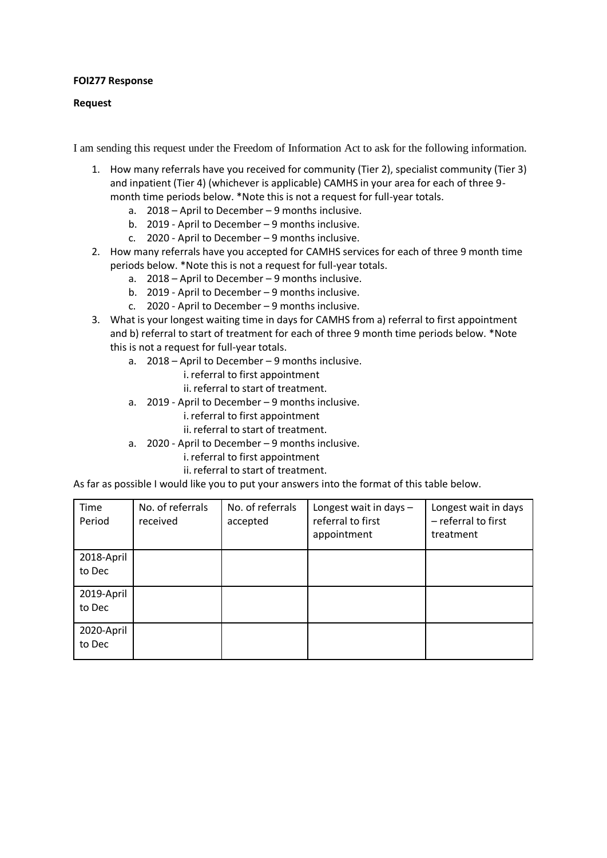## **FOI277 Response**

## **Request**

I am sending this request under the Freedom of Information Act to ask for the following information.

- 1. How many referrals have you received for community (Tier 2), specialist community (Tier 3) and inpatient (Tier 4) (whichever is applicable) CAMHS in your area for each of three 9 month time periods below. \*Note this is not a request for full-year totals.
	- a. 2018 April to December 9 months inclusive.
	- b. 2019 April to December 9 months inclusive.
	- c. 2020 April to December 9 months inclusive.
- 2. How many referrals have you accepted for CAMHS services for each of three 9 month time periods below. \*Note this is not a request for full-year totals.
	- a. 2018 April to December 9 months inclusive.
	- b. 2019 April to December 9 months inclusive.
	- c. 2020 April to December 9 months inclusive.
- 3. What is your longest waiting time in days for CAMHS from a) referral to first appointment and b) referral to start of treatment for each of three 9 month time periods below. \*Note this is not a request for full-year totals.
	- a. 2018 April to December 9 months inclusive.
		- i.referral to first appointment
		- ii.referral to start of treatment.
	- a. 2019 April to December 9 months inclusive.
		- i. referral to first appointment
		- ii. referral to start of treatment.
	- a. 2020 April to December 9 months inclusive.
		- i.referral to first appointment
		- ii. referral to start of treatment.

As far as possible I would like you to put your answers into the format of this table below.

| Time<br>Period | No. of referrals<br>received | No. of referrals<br>accepted | Longest wait in days $-$<br>referral to first<br>appointment | Longest wait in days<br>- referral to first<br>treatment |
|----------------|------------------------------|------------------------------|--------------------------------------------------------------|----------------------------------------------------------|
| 2018-April     |                              |                              |                                                              |                                                          |
| to Dec         |                              |                              |                                                              |                                                          |
| 2019-April     |                              |                              |                                                              |                                                          |
| to Dec         |                              |                              |                                                              |                                                          |
| 2020-April     |                              |                              |                                                              |                                                          |
| to Dec         |                              |                              |                                                              |                                                          |